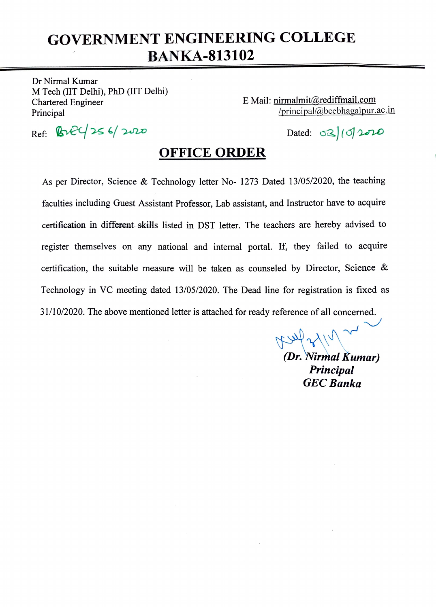## GOVERNMENT ENGINEERING COLLEGE BANKA-813102

Dr Nirmal Kumar M Tech (IIT Delhi), PhD (IIT Delhi) Chartered Engineer Principal

E Mail: nirmalmit@rediffimail.com principal@bcebhagalpur.ac.in

 $Ref: B2C/256/2020$  Dated: 02/10/2020

## OFFICE ORDER

As per Director, Science & Technology letter No- 1273 Dated 13/05/2020, the teaching faculties including Guest Assistant Professor, Lab assistant, and Instructor have to acquire certification in different skills listed in DST letter. The teachers are hereby advised to register themselves on any national and internal portal. If, they failed to acquire certification, the suitable measure will be taken as counseled by Director, Science & Technology in VC meeting dated 13/05/2020. The Dead line for registration is fixed as 31/10/2020. The above mentioned letter is attached for ready reference of all concerned.

> Assel 21/1 (Dr. Nirmal Kumar) Principal GEC Banka